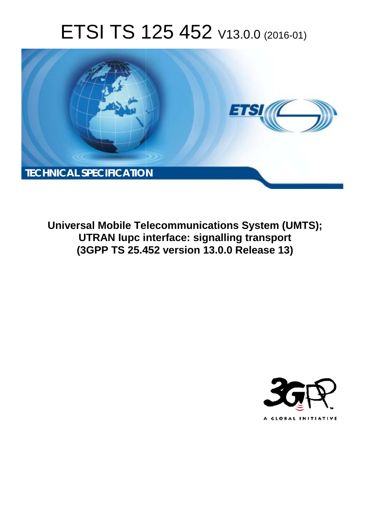# ETSI TS 125 452 V13.0.0 (2016-01)



**Universal Mobile Tel elecommunications System ( (UMTS);** UTRAN lupc interface: signalling transport **(3GPP TS 25.4 .452 version 13.0.0 Release 13 13)** 

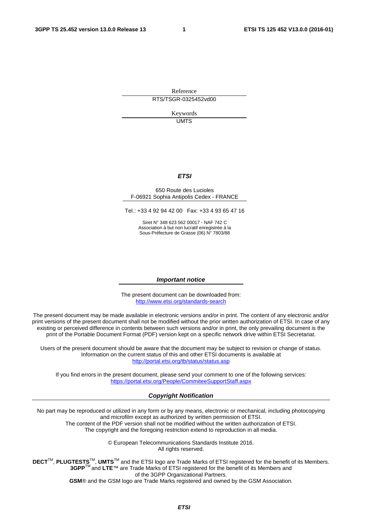Reference RTS/TSGR-0325452vd00

> Keywords UMTS

#### *ETSI*

#### 650 Route des Lucioles F-06921 Sophia Antipolis Cedex - FRANCE

Tel.: +33 4 92 94 42 00 Fax: +33 4 93 65 47 16

Siret N° 348 623 562 00017 - NAF 742 C Association à but non lucratif enregistrée à la Sous-Préfecture de Grasse (06) N° 7803/88

#### *Important notice*

The present document can be downloaded from: <http://www.etsi.org/standards-search>

The present document may be made available in electronic versions and/or in print. The content of any electronic and/or print versions of the present document shall not be modified without the prior written authorization of ETSI. In case of any existing or perceived difference in contents between such versions and/or in print, the only prevailing document is the print of the Portable Document Format (PDF) version kept on a specific network drive within ETSI Secretariat.

Users of the present document should be aware that the document may be subject to revision or change of status. Information on the current status of this and other ETSI documents is available at <http://portal.etsi.org/tb/status/status.asp>

If you find errors in the present document, please send your comment to one of the following services: <https://portal.etsi.org/People/CommiteeSupportStaff.aspx>

#### *Copyright Notification*

No part may be reproduced or utilized in any form or by any means, electronic or mechanical, including photocopying and microfilm except as authorized by written permission of ETSI.

The content of the PDF version shall not be modified without the written authorization of ETSI. The copyright and the foregoing restriction extend to reproduction in all media.

> © European Telecommunications Standards Institute 2016. All rights reserved.

**DECT**TM, **PLUGTESTS**TM, **UMTS**TM and the ETSI logo are Trade Marks of ETSI registered for the benefit of its Members. **3GPP**TM and **LTE**™ are Trade Marks of ETSI registered for the benefit of its Members and of the 3GPP Organizational Partners.

**GSM**® and the GSM logo are Trade Marks registered and owned by the GSM Association.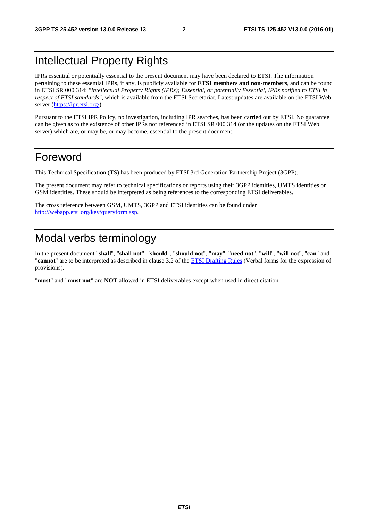### Intellectual Property Rights

IPRs essential or potentially essential to the present document may have been declared to ETSI. The information pertaining to these essential IPRs, if any, is publicly available for **ETSI members and non-members**, and can be found in ETSI SR 000 314: *"Intellectual Property Rights (IPRs); Essential, or potentially Essential, IPRs notified to ETSI in respect of ETSI standards"*, which is available from the ETSI Secretariat. Latest updates are available on the ETSI Web server [\(https://ipr.etsi.org/](https://ipr.etsi.org/)).

Pursuant to the ETSI IPR Policy, no investigation, including IPR searches, has been carried out by ETSI. No guarantee can be given as to the existence of other IPRs not referenced in ETSI SR 000 314 (or the updates on the ETSI Web server) which are, or may be, or may become, essential to the present document.

### Foreword

This Technical Specification (TS) has been produced by ETSI 3rd Generation Partnership Project (3GPP).

The present document may refer to technical specifications or reports using their 3GPP identities, UMTS identities or GSM identities. These should be interpreted as being references to the corresponding ETSI deliverables.

The cross reference between GSM, UMTS, 3GPP and ETSI identities can be found under [http://webapp.etsi.org/key/queryform.asp.](http://webapp.etsi.org/key/queryform.asp)

## Modal verbs terminology

In the present document "**shall**", "**shall not**", "**should**", "**should not**", "**may**", "**need not**", "**will**", "**will not**", "**can**" and "**cannot**" are to be interpreted as described in clause 3.2 of the [ETSI Drafting Rules](http://portal.etsi.org/Help/editHelp!/Howtostart/ETSIDraftingRules.aspx) (Verbal forms for the expression of provisions).

"**must**" and "**must not**" are **NOT** allowed in ETSI deliverables except when used in direct citation.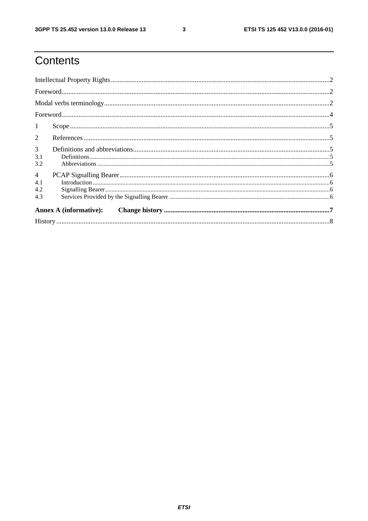$\mathbf{3}$ 

# Contents

| $\mathbf{1}$   |                               |  |  |  |
|----------------|-------------------------------|--|--|--|
| 2              |                               |  |  |  |
| $\mathfrak{Z}$ |                               |  |  |  |
| 3.1<br>3.2     |                               |  |  |  |
| $\overline{4}$ |                               |  |  |  |
| 4.1            |                               |  |  |  |
| 4.2            |                               |  |  |  |
| 4.3            |                               |  |  |  |
|                | <b>Annex A (informative):</b> |  |  |  |
|                |                               |  |  |  |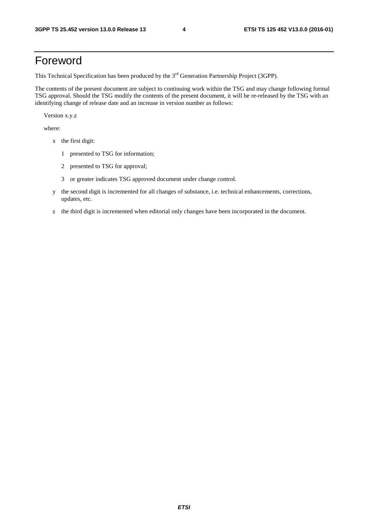### Foreword

This Technical Specification has been produced by the 3<sup>rd</sup> Generation Partnership Project (3GPP).

The contents of the present document are subject to continuing work within the TSG and may change following formal TSG approval. Should the TSG modify the contents of the present document, it will be re-released by the TSG with an identifying change of release date and an increase in version number as follows:

Version x.y.z

where:

- x the first digit:
	- 1 presented to TSG for information;
	- 2 presented to TSG for approval;
	- 3 or greater indicates TSG approved document under change control.
- y the second digit is incremented for all changes of substance, i.e. technical enhancements, corrections, updates, etc.
- z the third digit is incremented when editorial only changes have been incorporated in the document.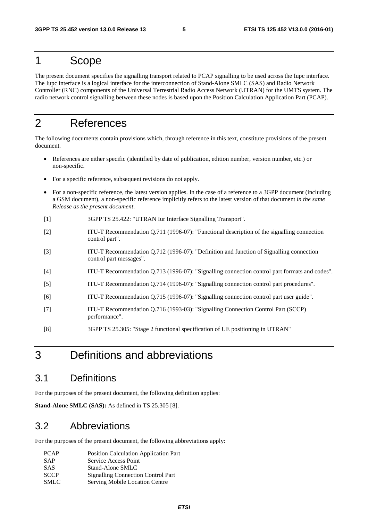#### 1 Scope

The present document specifies the signalling transport related to PCAP signalling to be used across the Iupc interface. The Iupc interface is a logical interface for the interconnection of Stand-Alone SMLC (SAS) and Radio Network Controller (RNC) components of the Universal Terrestrial Radio Access Network (UTRAN) for the UMTS system. The radio network control signalling between these nodes is based upon the Position Calculation Application Part (PCAP).

### 2 References

The following documents contain provisions which, through reference in this text, constitute provisions of the present document.

- References are either specific (identified by date of publication, edition number, version number, etc.) or non-specific.
- For a specific reference, subsequent revisions do not apply.
- For a non-specific reference, the latest version applies. In the case of a reference to a 3GPP document (including a GSM document), a non-specific reference implicitly refers to the latest version of that document *in the same Release as the present document*.
- [1] 3GPP TS 25.422: "UTRAN Iur Interface Signalling Transport".
- [2] ITU-T Recommendation Q.711 (1996-07): "Functional description of the signalling connection control part".
- [3] ITU-T Recommendation Q.712 (1996-07): "Definition and function of Signalling connection control part messages".
- [4] ITU-T Recommendation Q.713 (1996-07): "Signalling connection control part formats and codes".
- [5] ITU-T Recommendation Q.714 (1996-07): "Signalling connection control part procedures".
- [6] ITU-T Recommendation Q.715 (1996-07): "Signalling connection control part user guide".
- [7] ITU-T Recommendation Q.716 (1993-03): "Signalling Connection Control Part (SCCP) performance".
- [8] 3GPP TS 25.305: "Stage 2 functional specification of UE positioning in UTRAN"

### 3 Definitions and abbreviations

#### 3.1 Definitions

For the purposes of the present document, the following definition applies:

**Stand-Alone SMLC (SAS):** As defined in TS 25.305 [8].

#### 3.2 Abbreviations

For the purposes of the present document, the following abbreviations apply:

| <b>PCAP</b> | <b>Position Calculation Application Part</b> |
|-------------|----------------------------------------------|
| <b>SAP</b>  | Service Access Point                         |
| <b>SAS</b>  | Stand-Alone SMLC                             |
| <b>SCCP</b> | <b>Signalling Connection Control Part</b>    |
| SMLC        | Serving Mobile Location Centre               |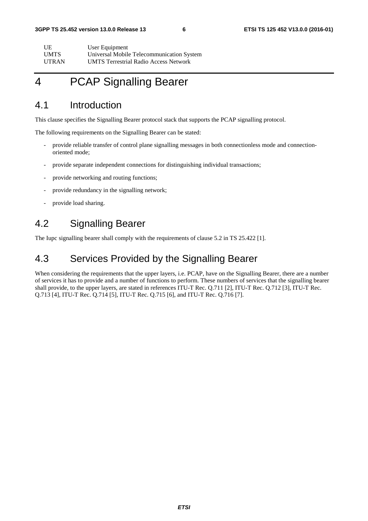| UE           | User Equipment                               |
|--------------|----------------------------------------------|
| <b>UMTS</b>  | Universal Mobile Telecommunication System    |
| <b>UTRAN</b> | <b>UMTS Terrestrial Radio Access Network</b> |

# 4 PCAP Signalling Bearer

#### 4.1 Introduction

This clause specifies the Signalling Bearer protocol stack that supports the PCAP signalling protocol.

The following requirements on the Signalling Bearer can be stated:

- provide reliable transfer of control plane signalling messages in both connectionless mode and connectionoriented mode;
- provide separate independent connections for distinguishing individual transactions;
- provide networking and routing functions;
- provide redundancy in the signalling network;
- provide load sharing.

#### 4.2 Signalling Bearer

The Iupc signalling bearer shall comply with the requirements of clause 5.2 in TS 25.422 [1].

#### 4.3 Services Provided by the Signalling Bearer

When considering the requirements that the upper layers, i.e. PCAP, have on the Signalling Bearer, there are a number of services it has to provide and a number of functions to perform. These numbers of services that the signalling bearer shall provide, to the upper layers, are stated in references ITU-T Rec. Q.711 [2], ITU-T Rec. Q.712 [3], ITU-T Rec. Q.713 [4], ITU-T Rec. Q.714 [5], ITU-T Rec. Q.715 [6], and ITU-T Rec. Q.716 [7].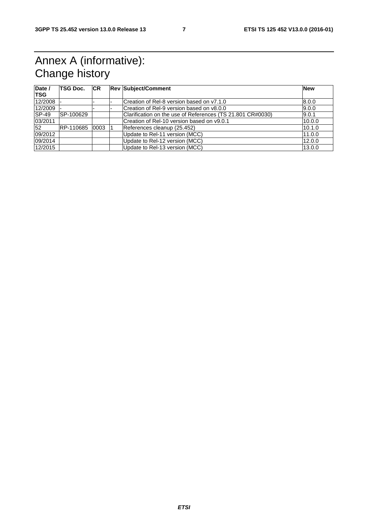# Annex A (informative): Change history

| Date /<br><b>TSG</b> | <b>TSG Doc.</b> | <b>CR</b> | <b>Rev Subject/Comment</b>                                 | <b>New</b> |
|----------------------|-----------------|-----------|------------------------------------------------------------|------------|
| 12/2008              |                 |           | Creation of Rel-8 version based on y7.1.0                  | 8.0.0      |
| 12/2009              |                 |           | Creation of Rel-9 version based on v8.0.0                  | 9.0.0      |
| <b>SP-49</b>         | SP-100629       |           | Clarification on the use of References (TS 21.801 CR#0030) | 9.0.1      |
| 03/2011              |                 |           | Creation of Rel-10 version based on v9.0.1                 | 10.0.0     |
| 52                   | RP-110685       | 0003      | References cleanup (25.452)                                | 10.1.0     |
| 09/2012              |                 |           | Update to Rel-11 version (MCC)                             | 11.0.0     |
| 09/2014              |                 |           | Update to Rel-12 version (MCC)                             | 12.0.0     |
| 12/2015              |                 |           | Update to Rel-13 version (MCC)                             | 13.0.0     |